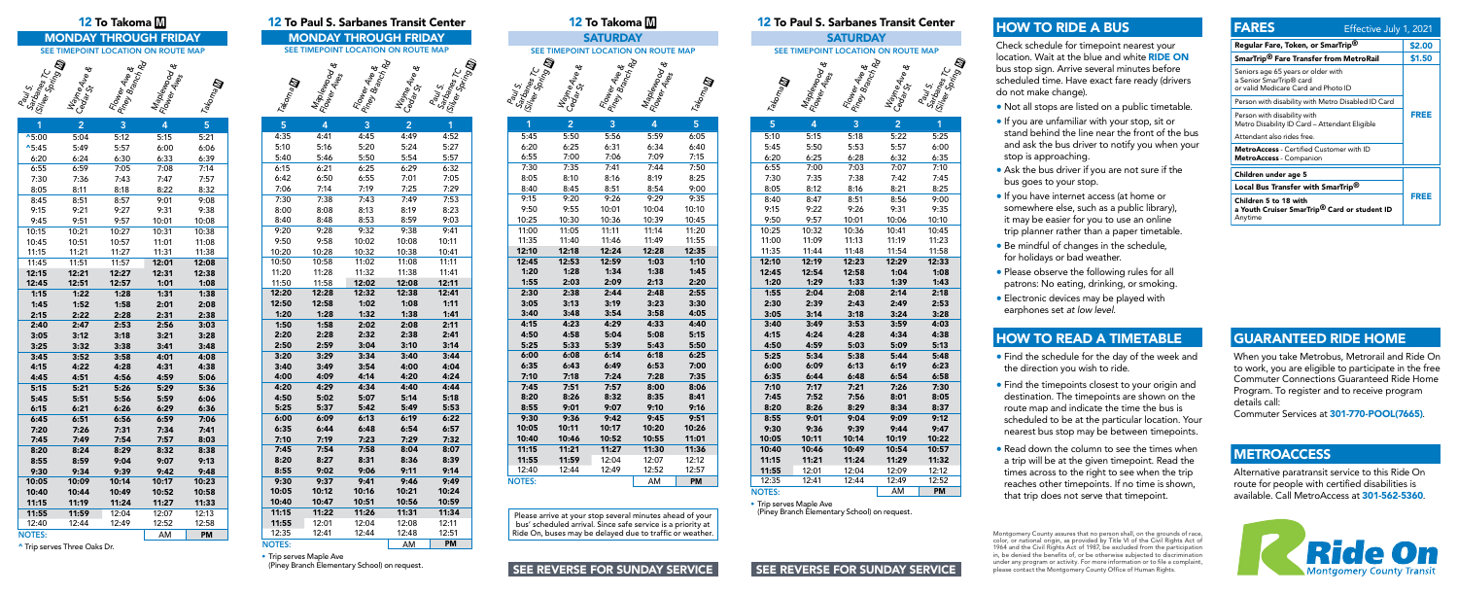





| 1                 | 2     | 3     | 4     | 5         |
|-------------------|-------|-------|-------|-----------|
| $^{\text{A}}5:00$ | 5:04  | 5:12  | 5:15  | 5:21      |
| $^{\text{A}}5:45$ | 5:49  | 5:57  | 6:00  | 6:06      |
| 6:20              | 6:24  | 6:30  | 6:33  | 6:39      |
| 6:55              | 6:59  | 7:05  | 7:08  | 7:14      |
| 7:30              | 7:36  | 7:43  | 7:47  | 7:57      |
| 8:05              | 8:11  | 8:18  | 8:22  | 8:32      |
| 8:45              | 8:51  | 8:57  | 9:01  | 9:08      |
| 9:15              | 9:21  | 9:27  | 9:31  | 9:38      |
| 9:45              | 9:51  | 9:57  | 10:01 | 10:08     |
| 10:15             | 10:21 | 10:27 | 10:31 | 10:38     |
| 10:45             | 10:51 | 10:57 | 11:01 | 11:08     |
| 11:15             | 11:21 | 11:27 | 11:31 | 11:38     |
| 11:45             | 11:51 | 11:57 | 12:01 | 12:08     |
| 12:15             | 12:21 | 12:27 | 12:31 | 12:38     |
| 12:45             | 12:51 | 12:57 | 1:01  | 1:08      |
| 1:15              | 1:22  | 1:28  | 1:31  | 1:38      |
| 1:45              | 1:52  | 1:58  | 2:01  | 2:08      |
| 2:15              | 2:22  | 2:28  | 2:31  | 2:38      |
| 2:40              | 2:47  | 2:53  | 2:56  | 3:03      |
| 3:05              | 3:12  | 3:18  | 3:21  | 3:28      |
| 3:25              | 3:32  | 3:38  | 3:41  | 3:48      |
| 3:45              | 3:52  | 3:58  | 4:01  | 4:08      |
| 4:15              | 4:22  | 4:28  | 4:31  | 4:38      |
| 4:45              | 4:51  | 4:56  | 4:59  | 5:06      |
| 5:15              | 5:21  | 5:26  | 5:29  | 5:36      |
| 5:45              | 5:51  | 5:56  | 5:59  | 6:06      |
| 6:15              | 6:21  | 6:26  | 6:29  | 6:36      |
| 6:45              | 6:51  | 6:56  | 6:59  | 7:06      |
| 7:20              | 7:26  | 7:31  | 7:34  | 7:41      |
| 7:45              | 7:49  | 7:54  | 7:57  | 8:03      |
| 8:20              | 8:24  | 8:29  | 8:32  | 8:38      |
| 8:55              | 8:59  | 9:04  | 9:07  | 9:13      |
| 9:30              | 9:34  | 9:39  | 9:42  | 9:48      |
| 10:05             | 10:09 | 10:14 | 10:17 | 10:23     |
| 10:40             | 10:44 | 10:49 | 10:52 | 10:58     |
| 11:15             | 11:19 | 11:24 | 11:27 | 11:33     |
| 11:55             | 11:59 | 12:04 | 12:07 | 12:13     |
| 12:40             | 12:44 | 12:49 | 12:52 | 12:58     |
| <b>NOTES:</b>     |       |       | AM    | <b>PM</b> |

|                          |                                        | 12 To Takoma M                           |                |                   |                |                                     |                                                           |                                          | 12 To Paul S. Sarbanes Transit Center               |                                                                |                                          | 12 To Takoma M                             |                                     |                |                  |                                     |                                 |                                         | 12 To Paul S. Sarbanes Transit Center              |
|--------------------------|----------------------------------------|------------------------------------------|----------------|-------------------|----------------|-------------------------------------|-----------------------------------------------------------|------------------------------------------|-----------------------------------------------------|----------------------------------------------------------------|------------------------------------------|--------------------------------------------|-------------------------------------|----------------|------------------|-------------------------------------|---------------------------------|-----------------------------------------|----------------------------------------------------|
|                          | <b>MONDAY THROUGH FRIDAY</b>           |                                          |                |                   |                | <b>MONDAY THROUGH FRIDAY</b>        |                                                           |                                          |                                                     |                                                                |                                          | <b>SATURDAY</b>                            |                                     |                |                  |                                     | <b>SATURDAY</b>                 |                                         |                                                    |
|                          | SEE TIMEPOINT LOCATION ON ROUTE MAP    |                                          |                |                   |                | SEE TIMEPOINT LOCATION ON ROUTE MAP |                                                           |                                          |                                                     |                                                                |                                          |                                            | SEE TIMEPOINT LOCATION ON ROUTE MAP |                |                  | SEE TIMEPOINT LOCATION ON ROUTE MAP |                                 |                                         |                                                    |
|                          |                                        |                                          |                |                   |                |                                     |                                                           |                                          |                                                     |                                                                |                                          |                                            |                                     |                |                  |                                     |                                 |                                         |                                                    |
| <b>ON Grissing River</b> | <b>MayneAve &amp;</b><br>Cedar St Ve & | <b>Rower Ave &amp;</b><br>Pingv Brance & | Maplewood &    | Takoma <b>lli</b> | Takoma M       | Maplewood &<br>Flower Arood &       | <b>Fower Ave &amp;</b><br>Pingv Branke &<br>May Branch Rd | <b>Mayne Ave &amp;</b><br>Ceodr St Ave & | Paul S.<br>Salanes Tc.<br>(Silver Paring <b>II)</b> | Paul S.<br>Sartanes Tc. .<br><sup>Silver</sup> Spring <b>M</b> | <b>Mayne Ave &amp;</b><br>Ceolar St Ne & | <b>Foller Alie &amp;</b><br>Pingy Brance & | Maplewood &<br>Flower Aves          | Takoma M       | Takoma <b>to</b> | Maplewood &<br>Flower Avood &       | Flower Ave &<br>Piney Branch Rd | <b>Wayne Ave &amp;</b><br>Cedar St Ne & | $\kappa$<br>Paul S.<br>Sarbanes ;<br>(Silver Sori; |
|                          | 2 <sup>1</sup>                         | $\overline{3}$                           | $\overline{4}$ | 5 <sup>1</sup>    | 5 <sup>1</sup> | $\overline{4}$                      | $\overline{3}$                                            | 2 <sup>1</sup>                           | 1                                                   |                                                                | 2 <sup>1</sup>                           | 3 <sup>°</sup>                             | $\overline{4}$                      | 5 <sup>1</sup> | 5 <sup>1</sup>   | $\overline{4}$                      | $\overline{3}$                  | 2 <sup>1</sup>                          | 1                                                  |
| 00                       | 5:04                                   | 5:12                                     | 5:15           | 5:21              | 4:35           | 4:41                                | 4:45                                                      | 4:49                                     | 4:52                                                | 5:45                                                           | 5:50                                     | 5:56                                       | 5:59                                | 6:05           | 5:10             | 5:15                                | 5:18                            | 5:22                                    | 5:25                                               |
| 45                       | 5:49                                   | 5:57                                     | 6:00           | 6:06              | 5:10           | 5:16                                | 5:20                                                      | 5:24                                     | 5:27                                                | 6:20                                                           | 6:25                                     | 6:31                                       | 6:34                                | 6:40           | 5:45             | 5:50                                | 5:53                            | 5:57                                    | 6:00                                               |
| 20                       | 6:24                                   | 6:30                                     | 6:33           | 6:39              | 5:40           | 5:46                                | 5:50                                                      | 5:54                                     | 5:57                                                | 6:55                                                           | 7:00                                     | 7:06                                       | 7:09                                | 7:15           | 6:20             | 6:25                                | 6:28                            | 6:32                                    | 6:35                                               |
| 55                       | 6:59                                   | 7:05                                     | 7:08           | 7:14              | 6:15           | 6:21                                | 6:25                                                      | 6:29                                     | 6:32                                                | 7:30                                                           | 7:35                                     | 7:41                                       | 7:44                                | 7:50           | 6:55             | 7:00                                | 7:03                            | 7:07                                    | 7:10                                               |
| 30                       | 7:36                                   | 7:43                                     | 7:47           | 7:57              | 6:42           | 6:50                                | 6:55                                                      | 7:01                                     | 7:05                                                | 8:05                                                           | 8:10                                     | 8:16                                       | 8:19                                | 8:25           | 7:30             | 7:35                                | 7:38                            | 7:42                                    | 7:45                                               |
| 05                       | 8:11                                   | 8:18                                     | 8:22           | 8:32              | 7:06           | 7:14                                | 7:19                                                      | 7:25                                     | 7:29                                                | 8:40                                                           | 8:45                                     | 8:51                                       | 8:54                                | 9:00           | 8:05             | 8:12                                | 8:16                            | 8:21                                    | 8:25                                               |
| 45                       | 8:51                                   | 8:57                                     | 9:01           | 9:08              | 7:30           | 7:38                                | 7:43                                                      | 7:49                                     | 7:53                                                | 9:15                                                           | 9:20                                     | 9:26                                       | 9:29                                | 9:35           | 8:40             | 8:47                                | 8:51                            | 8:56                                    | 9:00                                               |
| 15                       | 9:21                                   | 9:27                                     | 9:31           | 9:38              | 8:00           | 8:08                                | 8:13                                                      | 8:19                                     | 8:23                                                | 9:50                                                           | 9:55                                     | 10:01                                      | 10:04                               | 10:10          | 9:15             | 9:22                                | 9:26                            | 9:31                                    | 9:35                                               |
| 45                       | 9:51                                   | 9:57                                     | 10:01          | 10:08             | 8:40           | 8:48                                | 8:53                                                      | 8:59                                     | 9:03                                                | 10:25                                                          | 10:30                                    | 10:36                                      | 10:39                               | 10:45          | 9:50             | 9:57                                | 10:01                           | 10:06                                   | 10:10                                              |
| 15                       | 10:21                                  | 10:27                                    | 10:31          | 10:38             | 9:20           | 9:28                                | 9:32                                                      | 9:38                                     | 9:41                                                | 11:00                                                          | 11:05                                    | 11:11                                      | 11:14                               | 11:20          | 10:25            | 10:32                               | 10:36                           | 10:41                                   | 10:45                                              |
| 45                       | 10:51                                  | 10:57                                    | 11:01          | 11:08             | 9:50           | 9:58                                | 10:02                                                     | 10:08                                    | 10:11                                               | 11:35                                                          | 11:40                                    | 11:46                                      | 11:49                               | 11:55          | 11:00            | 11:09                               | 11:13                           | 11:19                                   | 11:23                                              |
| 15                       | 11:21                                  | 11:27                                    | 11:31          | 11:38             | 10:20          | 10:28                               | 10:32                                                     | 10:38                                    | 10:41                                               | 12:10                                                          | 12:18                                    | 12:24                                      | 12:28                               | 12:35          | 11:35            | 11:44                               | 11:48                           | 11:54                                   | 11:58                                              |
| 45                       | 11:51                                  | 11:57                                    | 12:01          | 12:08             | 10:50          | 10:58                               | 11:02                                                     | 11:08                                    | 11:11                                               | 12:45                                                          | 12:53                                    | 12:59                                      | 1:03                                | 1:10           | 12:10            | 12:19                               | 12:23                           | 12:29                                   | 12:33                                              |
| 15                       | 12:21                                  | 12:27                                    | 12:31          | 12:38             | 11:20          | 11:28                               | 11:32                                                     | 11:38                                    | 11:41                                               | 1:20                                                           | 1:28                                     | 1:34                                       | 1:38                                | 1:45           | 12:45            | 12:54                               | 12:58                           | 1:04                                    | 1:08                                               |
| 45                       | 12:51                                  | 12:57                                    | 1:01           | 1:08              | 11:50          | 11:58                               | 12:02                                                     | 12:08                                    | 12:11                                               | 1:55                                                           | 2:03                                     | 2:09                                       | 2:13                                | 2:20           | 1:20             | 1:29                                | 1:33                            | 1:39                                    | 1:43                                               |
| 15                       | 1:22                                   | 1:28                                     | 1:31           | 1:38              | 12:20          | 12:28                               | 12:32                                                     | 12:38                                    | 12:41                                               | 2:30                                                           | 2:38                                     | 2:44                                       | 2:48                                | 2:55           | 1:55             | 2:04                                | 2:08                            | 2:14                                    | 2:18                                               |
| 45                       | 1:52                                   | 1:58                                     | 2:01           | 2:08              | 12:50          | 12:58                               | 1:02                                                      | 1:08                                     | 1:11                                                | 3:05                                                           | 3:13                                     | 3:19                                       | 3:23                                | 3:30           | 2:30             | 2:39                                | 2:43                            | 2:49                                    | 2:53                                               |
| 15                       | 2:22                                   | 2:28                                     | 2:31           | 2:38              | 1:20           | 1:28                                | 1:32                                                      | 1:38                                     | 1:41                                                | 3:40                                                           | 3:48                                     | 3:54                                       | 3:58                                | 4:05           | 3:05             | 3:14                                | 3:18                            | 3:24                                    | 3:28                                               |
| 40                       | 2:47                                   | 2:53                                     | 2:56           | 3:03              | 1:50           | 1:58                                | 2:02                                                      | 2:08                                     | 2:11                                                | 4:15                                                           | 4:23                                     | 4:29                                       | 4:33                                | 4:40           | 3:40             | 3:49                                | 3:53                            | 3:59                                    | 4:03                                               |
| 05                       | 3:12                                   | 3:18                                     | 3:21           | 3:28              | 2:20           | 2:28                                | 2:32                                                      | 2:38                                     | 2:41                                                | 4:50                                                           | 4:58                                     | 5:04                                       | 5:08                                | 5:15           | 4:15             | 4:24                                | 4:28                            | 4:34                                    | 4:38                                               |
| 25                       | 3:32                                   | 3:38                                     | 3:41           | 3:48              | 2:50           | 2:59                                | 3:04                                                      | 3:10                                     | 3:14                                                | 5:25                                                           | 5:33                                     | 5:39                                       | 5:43                                | 5:50           | 4:50             | 4:59                                | 5:03                            | 5:09                                    | 5:13                                               |
| 45                       | 3:52                                   | 3:58                                     | 4:01           | 4:08              | 3:20           | 3:29                                | 3:34                                                      | 3:40                                     | 3:44                                                | 6:00                                                           | 6:08                                     | 6:14                                       | 6:18                                | 6:25           | 5:25             | 5:34                                | 5:38                            | 5:44                                    | 5:48                                               |
| 15                       | 4:22                                   | 4:28                                     | 4:31           | 4:38              | 3:40           | 3:49                                | 3:54                                                      | 4:00                                     | 4:04                                                | 6:35                                                           | 6:43                                     | 6:49                                       | 6:53                                | 7:00           | 6:00             | 6:09                                | 6:13                            | 6:19                                    | 6:23                                               |
| 45                       | 4:51                                   | 4:56                                     | 4:59           | 5:06              | 4:00           | 4:09                                | 4:14                                                      | 4:20                                     | 4:24                                                | 7:10                                                           | 7:18                                     | 7:24                                       | 7:28                                | 7:35           | 6:35             | 6:44                                | 6:48                            | 6:54                                    | 6:58                                               |
| 15                       | 5:21                                   | 5:26                                     | 5:29           | 5:36              | 4:20           | 4:29                                | 4:34                                                      | 4:40                                     | 4:44                                                | 7:45                                                           | 7:51                                     | 7:57                                       | 8:00                                | 8:06           | 7:10             | 7:17                                | 7:21                            | 7:26                                    | 7:30                                               |
| 45                       | 5:51                                   | 5:56                                     | 5:59           | 6:06              | 4:50           | 5:02                                | 5:07                                                      | 5:14                                     | 5:18                                                | 8:20                                                           | 8:26                                     | 8:32                                       | 8:35                                | 8:41           | 7:45             | 7:52                                | 7:56                            | 8:01                                    | 8:05                                               |
| 15                       | 6:21                                   | 6:26                                     | 6:29           | 6:36              | 5:25           | 5:37                                | 5:42                                                      | 5:49                                     | 5:53                                                | 8:55                                                           | 9:01                                     | 9:07                                       | 9:10                                | 9:16           | 8:20             | 8:26                                | 8:29                            | 8:34                                    | 8:37                                               |
| 45                       | 6:51                                   | 6:56                                     | 6:59           | 7:06              | 6:00           | 6:09                                | 6:13                                                      | 6:19                                     | 6:22                                                | 9:30                                                           | 9:36                                     | 9:42                                       | 9:45                                | 9:51           | 8:55             | 9:01                                | 9:04                            | 9:09                                    | 9:12                                               |
| 20                       | 7:26                                   | 7:31                                     | 7:34           | 7:41              | 6:35           | 6:44                                | 6:48                                                      | 6:54                                     | 6:57                                                | 10:05                                                          | 10:11                                    | 10:17                                      | 10:20                               | 10:26          | 9:30             | 9:36                                | 9:39                            | 9:44                                    | 9:47                                               |
| 45                       | 7:49                                   | 7:54                                     | 7:57           | 8:03              | 7:10           | 7:19                                | 7:23                                                      | 7:29                                     | 7:32                                                | 10:40                                                          | 10:46                                    | 10:52                                      | 10:55                               | 11:01          | 10:05            | 10:11                               | 10:14                           | 10:19                                   | 10:22                                              |
| 20                       | 8:24                                   | 8:29                                     | 8:32           | 8:38              | 7:45           | 7:54                                | 7:58                                                      | 8:04                                     | 8:07                                                | 11:15                                                          | 11:21                                    | 11:27                                      | 11:30                               | 11:36          | 10:40            | 10:46                               | 10:49                           | 10:54                                   | 10:57                                              |
| 55                       | 8:59                                   | 9:04                                     | 9:07           | 9:13              | 8:20           | 8:27                                | 8:31                                                      | 8:36                                     | 8:39                                                | 11:55                                                          | 11:59                                    | 12:04                                      | 12:07                               | 12:12          | 11:15            | 11:21                               | 11:24                           | 11:29                                   | 11:32                                              |
| 30                       | 9:34                                   | 9:39                                     | 9:42           | 9:48              | 8:55           | 9:02                                | 9:06                                                      | 9:11                                     | 9:14                                                | 12:40                                                          | 12:44                                    | 12:49                                      | 12:52                               | 12:57          | 11:55            | 12:01                               | 12:04                           | 12:09                                   | 12:12                                              |
| 05                       | 10:09                                  | 10:14                                    | 10:17          | 10:23             | 9:30           | 9:37                                | 9:41                                                      | 9:46                                     | 9:49                                                | <b>NOTES:</b>                                                  |                                          |                                            | AM                                  | <b>PM</b>      | 12:35            | 12:41                               | 12:44                           | 12:49                                   | 12:52                                              |
| 40                       | 10:44                                  | 10:49                                    | 10:52          | 10:58             | 10:05          | 10:12                               | 10:16                                                     | 10:21                                    | 10:24                                               |                                                                |                                          |                                            |                                     |                | <b>NOTES:</b>    |                                     |                                 | AM                                      | <b>PM</b>                                          |

|               | <mark>12</mark> To Paul S. Sarbanes Transit Center |                   |                              |                                                                                    |
|---------------|----------------------------------------------------|-------------------|------------------------------|------------------------------------------------------------------------------------|
|               | <b>MONDAY THROUGH FRIDAY</b>                       |                   |                              |                                                                                    |
|               | <b>SEE TIMEPOINT</b>                               |                   | <b>LOCATION ON ROUTE MAP</b> |                                                                                    |
|               |                                                    | n Rd              |                              | Sintomes TC<br><siles series="" tc<br=""><siles <b="" sering="">ID</siles></siles> |
|               |                                                    |                   | ∾                            |                                                                                    |
|               |                                                    |                   |                              |                                                                                    |
|               |                                                    |                   |                              |                                                                                    |
| I Takoma II   |                                                    |                   |                              |                                                                                    |
| 5             | <b>Maplewood</b><br>Kower Aveod<br>4               | Flower Ave &<br>3 | $\overline{2}$               | 1                                                                                  |
| 4:35          | 4:41                                               | 4:45              | 4:49                         | 4:52                                                                               |
| 5:10          | 5:16                                               | 5:20              | 5:24                         | 5:27                                                                               |
| 5:40          | 5:46                                               | 5:50              | 5:54                         | 5:57                                                                               |
| 6:15          | 6:21                                               | 6:25              | 6:29                         | 6:32                                                                               |
| 6:42          | 6:50                                               | 6:55              | 7:01                         | 7:05                                                                               |
| 7:06          | 7:14                                               | 7:19              | 7:25                         | 7:29                                                                               |
| 7:30          | 7:38                                               | 7:43              | 7:49                         | 7:53                                                                               |
| 8:00          | 8:08                                               | 8:13              | 8:19                         | 8:23                                                                               |
| 8:40          | 8:48                                               | 8:53              | 8:59                         | 9:03                                                                               |
| 9:20          | 9:28                                               | 9:32              | 9:38                         | 9:41                                                                               |
| 9:50          | 9:58                                               | 10:02             | 10:08                        | 10:11                                                                              |
| 10:20         | 10:28                                              | 10:32             | 10:38                        | 10:41                                                                              |
| 10:50         | 10:58                                              | 11:02             | 11:08                        | 11:11                                                                              |
| 11:20         | 11:28                                              | 11:32             | 11:38                        | 11:41                                                                              |
| 11:50         | 11:58                                              | 12:02             | 12:08                        | 12:11                                                                              |
| 12:20         | 12:28                                              | 12:32             | 12:38                        | 12:41                                                                              |
| 12:50         | 12:58                                              | 1:02              | 1:08                         | 1:11                                                                               |
| 1:20          | 1:28                                               | 1:32              | 1:38                         | 1:41                                                                               |
| 1:50          | 1:58                                               | 2:02              | 2:08                         | 2:11                                                                               |
| 2:20          | 2:28                                               | 2:32              | 2:38                         | 2:41                                                                               |
| 2:50          | 2:59                                               | 3:04              | 3:10                         | 3:14                                                                               |
| 3:20          | 3:29                                               | 3:34              | 3:40                         | 3:44                                                                               |
| 3:40          | 3:49                                               | 3:54<br>4:14      | 4:00                         | 4:04                                                                               |
| 4:00<br>4:20  | 4:09<br>4:29                                       | 4:34              | 4:20<br>4:40                 | 4:24<br>4:44                                                                       |
| 4:50          | 5:02                                               | 5:07              | 5:14                         | 5:18                                                                               |
| 5:25          | 5:37                                               | 5:42              | 5:49                         | 5:53                                                                               |
| 6:00          | 6:09                                               | 6:13              | 6:19                         | 6:22                                                                               |
| 6:35          | 6:44                                               | 6:48              | 6:54                         | 6:57                                                                               |
| 7:10          | 7:19                                               | 7:23              | 7:29                         | 7:32                                                                               |
| 7:45          | 7:54                                               | 7:58              | 8:04                         | 8:07                                                                               |
| 8:20          | 8:27                                               | 8:31              | 8:36                         | 8:39                                                                               |
| 8:55          | 9:02                                               | 9:06              | 9:11                         | 9:14                                                                               |
| 9:30          | 9:37                                               | 9:41              | 9:46                         | 9:49                                                                               |
| 10:05         | 10:12                                              | 10:16             | 10:21                        | 10:24                                                                              |
| 10:40         | 10:47                                              | 10:51             | 10:56                        | 10:59                                                                              |
| 11:15         | 11:22                                              | 11:26             | 11:31                        | 11:34                                                                              |
| 11:55         | 12:01                                              | 12:04             | 12:08                        | 12:11                                                                              |
| 12:35         | 12:41                                              | 12:44             | 12:48                        | 12:51                                                                              |
| <b>NOTES:</b> |                                                    |                   | AM                           | <b>PM</b>                                                                          |

| 5             | 4     | 3     | $\overline{2}$ | 1         |
|---------------|-------|-------|----------------|-----------|
| 5:10          | 5:15  | 5:18  | 5:22           | 5:25      |
| 5:45          | 5:50  | 5:53  | 5:57           | 6:00      |
| 6:20          | 6:25  | 6:28  | 6:32           | 6:35      |
| 6:55          | 7:00  | 7:03  | 7:07           | 7:10      |
| 7:30          | 7:35  | 7:38  | 7:42           | 7:45      |
| 8:05          | 8:12  | 8:16  | 8:21           | 8:25      |
| 8:40          | 8:47  | 8:51  | 8:56           | 9:00      |
| 9:15          | 9:22  | 9:26  | 9:31           | 9:35      |
| 9:50          | 9:57  | 10:01 | 10:06          | 10:10     |
| 10:25         | 10:32 | 10:36 | 10:41          | 10:45     |
| 11:00         | 11:09 | 11:13 | 11:19          | 11:23     |
| 11:35         | 11:44 | 11:48 | 11:54          | 11:58     |
| 12:10         | 12:19 | 12:23 | 12:29          | 12:33     |
| 12:45         | 12:54 | 12:58 | 1:04           | 1:08      |
| 1:20          | 1:29  | 1:33  | 1:39           | 1:43      |
| 1:55          | 2:04  | 2:08  | 2:14           | 2:18      |
| 2:30          | 2:39  | 2:43  | 2:49           | 2:53      |
| 3:05          | 3:14  | 3:18  | 3:24           | 3:28      |
| 3:40          | 3:49  | 3:53  | 3:59           | 4:03      |
| 4:15          | 4:24  | 4:28  | 4:34           | 4:38      |
| 4:50          | 4:59  | 5:03  | 5:09           | 5:13      |
| 5:25          | 5:34  | 5:38  | 5:44           | 5:48      |
| 6:00          | 6:09  | 6:13  | 6:19           | 6:23      |
| 6:35          | 6:44  | 6:48  | 6:54           | 6:58      |
| 7:10          | 7:17  | 7:21  | 7:26           | 7:30      |
| 7:45          | 7:52  | 7:56  | 8:01           | 8:05      |
| 8:20          | 8:26  | 8:29  | 8:34           | 8:37      |
| 8:55          | 9:01  | 9:04  | 9:09           | 9:12      |
| 9:30          | 9:36  | 9:39  | 9:44           | 9:47      |
| 10:05         | 10:11 | 10:14 | 10:19          | 10:22     |
| 10:40         | 10:46 | 10:49 | 10:54          | 10:57     |
| 11:15         | 11:21 | 11:24 | 11:29          | 11:32     |
| 11:55         | 12:01 | 12:04 | 12:09          | 12:12     |
| 12:35         | 12:41 | 12:44 | 12:49          | 12:52     |
| <b>NOTES:</b> |       |       | AM             | <b>PM</b> |

Montgomery County assures that no person shall, on the grounds of race, color, or national origin, as provided by Title VI of the Civil Rights Act of 1964 and the Civil Rights Act of 1987, be excluded from the participation in, be denied the benefits of, or be otherwise subjected to discrimination under any program or activity. For more information or to file a complaint, please contact the Montgomery County Office of Human Rights.

Please arrive at your stop several minutes ahead of your bus' scheduled arrival. Since safe service is a priority at Ride On, buses may be delayed due to traffic or weather.

| " Trip serves Three Oaks Dr. |  |  |  |  |  |  |
|------------------------------|--|--|--|--|--|--|
|------------------------------|--|--|--|--|--|--|

• Trip serves Maple Ave

(Piney Branch Elementary School) on request.

• Trip serves Maple Ave

(Piney Branch Elementary School) on request.

## SEE REVERSE FOR SUNDAY SERVICE SEE REVERSE FOR SUNDAY SERVICE

## HOW TO RIDE A BUS

Check schedule for timepoint nearest your location. Wait at the blue and white RIDE ON bus stop sign. Arrive several minutes before scheduled time. Have exact fare ready (drivers do not make change).

- Not all stops are listed on a public timetable.
- If you are unfamiliar with your stop, sit or stand behind the line near the front of the bus and ask the bus driver to notify you when your stop is approaching.
- Ask the bus driver if you are not sure if the bus goes to your stop.
- If you have internet access (at home or somewhere else, such as a public library), it may be easier for you to use an online trip planner rather than a paper timetable.
- Be mindful of changes in the schedule, for holidays or bad weather.
- Please observe the following rules for all patrons: No eating, drinking, or smoking.
- Electronic devices may be played with earphones set *at low level*.

## HOW TO READ A TIMETABLE

- Find the schedule for the day of the week and the direction you wish to ride.
- Find the timepoints closest to your origin and destination. The timepoints are shown on the route map and indicate the time the bus is scheduled to be at the particular location. Your nearest bus stop may be between timepoints.
- Read down the column to see the times when a trip will be at the given timepoint. Read the times across to the right to see when the trip reaches other timepoints. If no time is shown, that trip does not serve that timepoint.

| <b>FARES</b>                                                                                         | Effective July 1, 2021 |
|------------------------------------------------------------------------------------------------------|------------------------|
| Regular Fare, Token, or SmarTrip®                                                                    | \$2.00                 |
| SmarTrip <sup>®</sup> Fare Transfer from MetroRail                                                   | \$1.50                 |
| Seniors age 65 years or older with<br>a Senior SmarTrip® card<br>or valid Medicare Card and Photo ID |                        |
| Person with disability with Metro Disabled ID Card                                                   |                        |
| Person with disability with<br>Metro Disability ID Card - Attendant Eligible                         | FREE                   |
| Attendant also rides free.                                                                           |                        |
| <b>MetroAccess</b> - Certified Customer with ID<br><b>MetroAccess</b> - Companion                    |                        |
| Children under age 5                                                                                 |                        |
| Local Bus Transfer with SmarTrip <sup>®</sup>                                                        |                        |
| Children 5 to 18 with<br>a Youth Cruiser SmarTrip <sup>®</sup> Card or student ID<br>Anytime         | FREE                   |

## GUARANTEED RIDE HOME

When you take Metrobus, Metrorail and Ride On to work, you are eligible to participate in the free Commuter Connections Guaranteed Ride Home Program. To register and to receive program details call:

Commuter Services at 301-770-POOL(7665).

## **METROACCESS**

Alternative paratransit service to this Ride On route for people with certified disabilities is available. Call MetroAccess at 301-562-5360.